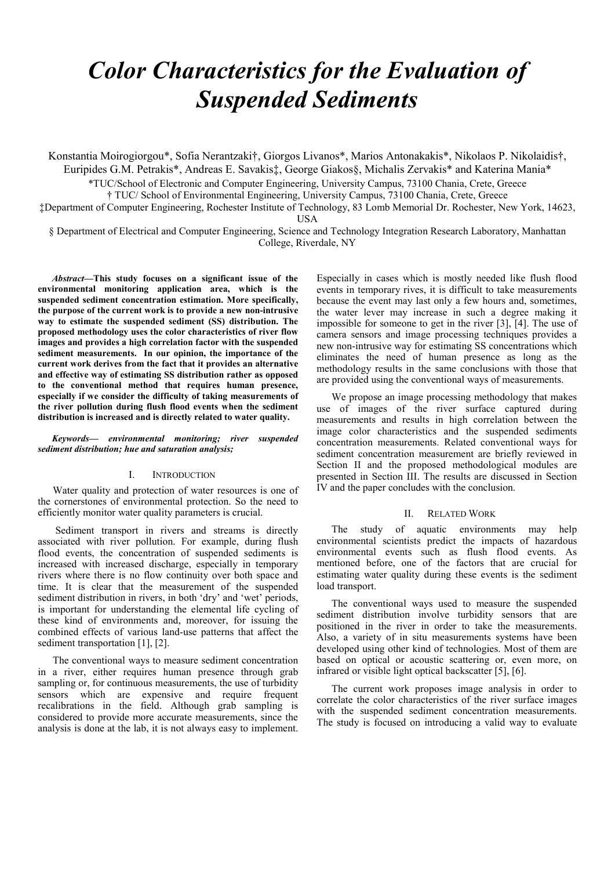# *Color Characteristics for the Evaluation of Suspended Sediments*

Konstantia Moirogiorgou\*, Sofia Nerantzaki†, Giorgos Livanos\*, Marios Antonakakis\*, Nikolaos P. Nikolaidis†, Euripides G.M. Petrakis\*, Andreas E. Savakis‡, George Giakos§, Michalis Zervakis\* and Katerina Mania\*

\*TUC/School of Electronic and Computer Engineering, University Campus, 73100 Chania, Crete, Greece

† TUC/ School of Environmental Engineering, University Campus, 73100 Chania, Crete, Greece

‡Department of Computer Engineering, Rochester Institute of Technology, 83 Lomb Memorial Dr. Rochester, New York, 14623, **USA** 

§ Department of Electrical and Computer Engineering, Science and Technology Integration Research Laboratory, Manhattan College, Riverdale, NY

*Abstract***—This study focuses on a significant issue of the environmental monitoring application area, which is the suspended sediment concentration estimation. More specifically, the purpose of the current work is to provide a new non-intrusive way to estimate the suspended sediment (SS) distribution. The proposed methodology uses the color characteristics of river flow images and provides a high correlation factor with the suspended sediment measurements. In our opinion, the importance of the current work derives from the fact that it provides an alternative and effective way of estimating SS distribution rather as opposed to the conventional method that requires human presence, especially if we consider the difficulty of taking measurements of the river pollution during flush flood events when the sediment distribution is increased and is directly related to water quality.** 

# *Keywords— environmental monitoring; river suspended sediment distribution; hue and saturation analysis;*

# I. INTRODUCTION

Water quality and protection of water resources is one of the cornerstones of environmental protection. So the need to efficiently monitor water quality parameters is crucial.

 Sediment transport in rivers and streams is directly associated with river pollution. For example, during flush flood events, the concentration of suspended sediments is increased with increased discharge, especially in temporary rivers where there is no flow continuity over both space and time. It is clear that the measurement of the suspended sediment distribution in rivers, in both 'dry' and 'wet' periods, is important for understanding the elemental life cycling of these kind of environments and, moreover, for issuing the combined effects of various land-use patterns that affect the sediment transportation [1], [2].

The conventional ways to measure sediment concentration in a river, either requires human presence through grab sampling or, for continuous measurements, the use of turbidity sensors which are expensive and require frequent recalibrations in the field. Although grab sampling is considered to provide more accurate measurements, since the analysis is done at the lab, it is not always easy to implement. Especially in cases which is mostly needed like flush flood events in temporary rives, it is difficult to take measurements because the event may last only a few hours and, sometimes, the water lever may increase in such a degree making it impossible for someone to get in the river [3], [4]. The use of camera sensors and image processing techniques provides a new non-intrusive way for estimating SS concentrations which eliminates the need of human presence as long as the methodology results in the same conclusions with those that are provided using the conventional ways of measurements.

We propose an image processing methodology that makes use of images of the river surface captured during measurements and results in high correlation between the image color characteristics and the suspended sediments concentration measurements. Related conventional ways for sediment concentration measurement are briefly reviewed in Section II and the proposed methodological modules are presented in Section III. The results are discussed in Section IV and the paper concludes with the conclusion.

# II. RELATED WORK

The study of aquatic environments may help environmental scientists predict the impacts of hazardous environmental events such as flush flood events. As mentioned before, one of the factors that are crucial for estimating water quality during these events is the sediment load transport.

The conventional ways used to measure the suspended sediment distribution involve turbidity sensors that are positioned in the river in order to take the measurements. Also, a variety of in situ measurements systems have been developed using other kind of technologies. Most of them are based on optical or acoustic scattering or, even more, on infrared or visible light optical backscatter [5], [6].

The current work proposes image analysis in order to correlate the color characteristics of the river surface images with the suspended sediment concentration measurements. The study is focused on introducing a valid way to evaluate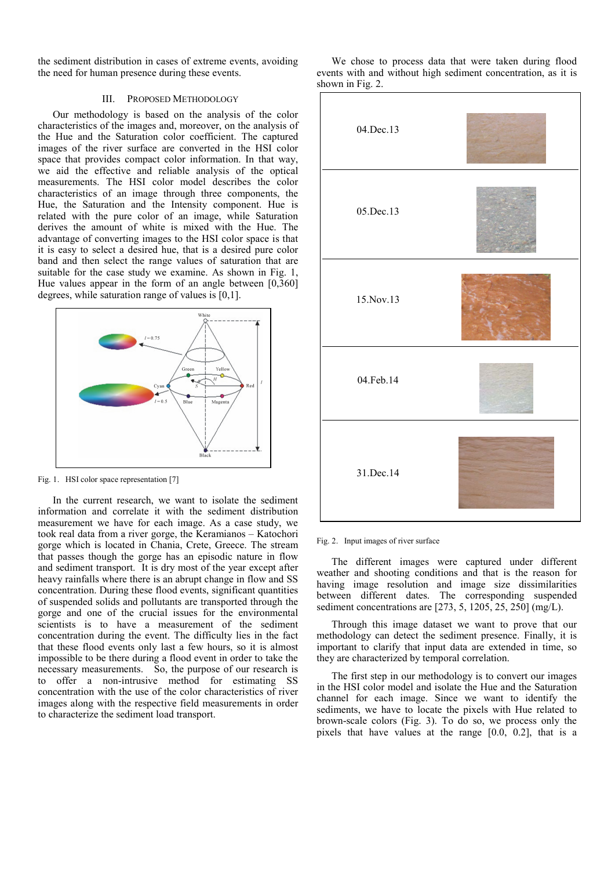the sediment distribution in cases of extreme events, avoiding the need for human presence during these events.

## III. PROPOSED METHODOLOGY

Our methodology is based on the analysis of the color characteristics of the images and, moreover, on the analysis of the Hue and the Saturation color coefficient. The captured images of the river surface are converted in the HSI color space that provides compact color information. In that way, we aid the effective and reliable analysis of the optical measurements. The HSI color model describes the color characteristics of an image through three components, the Hue, the Saturation and the Intensity component. Hue is related with the pure color of an image, while Saturation derives the amount of white is mixed with the Hue. The advantage of converting images to the HSI color space is that it is easy to select a desired hue, that is a desired pure color band and then select the range values of saturation that are suitable for the case study we examine. As shown in Fig. 1, Hue values appear in the form of an angle between [0,360] degrees, while saturation range of values is [0,1].



Fig. 1. HSI color space representation [7]

In the current research, we want to isolate the sediment information and correlate it with the sediment distribution measurement we have for each image. As a case study, we took real data from a river gorge, the Keramianos – Katochori gorge which is located in Chania, Crete, Greece. The stream that passes though the gorge has an episodic nature in flow and sediment transport. It is dry most of the year except after heavy rainfalls where there is an abrupt change in flow and SS concentration. During these flood events, significant quantities of suspended solids and pollutants are transported through the gorge and one of the crucial issues for the environmental scientists is to have a measurement of the sediment concentration during the event. The difficulty lies in the fact that these flood events only last a few hours, so it is almost impossible to be there during a flood event in order to take the necessary measurements. So, the purpose of our research is to offer a non-intrusive method for estimating SS concentration with the use of the color characteristics of river images along with the respective field measurements in order to characterize the sediment load transport.

We chose to process data that were taken during flood events with and without high sediment concentration, as it is shown in Fig. 2.



#### Fig. 2. Input images of river surface

The different images were captured under different weather and shooting conditions and that is the reason for having image resolution and image size dissimilarities between different dates. The corresponding suspended sediment concentrations are [273, 5, 1205, 25, 250] (mg/L).

Through this image dataset we want to prove that our methodology can detect the sediment presence. Finally, it is important to clarify that input data are extended in time, so they are characterized by temporal correlation.

The first step in our methodology is to convert our images in the HSI color model and isolate the Hue and the Saturation channel for each image. Since we want to identify the sediments, we have to locate the pixels with Hue related to brown-scale colors (Fig. 3). To do so, we process only the pixels that have values at the range [0.0, 0.2], that is a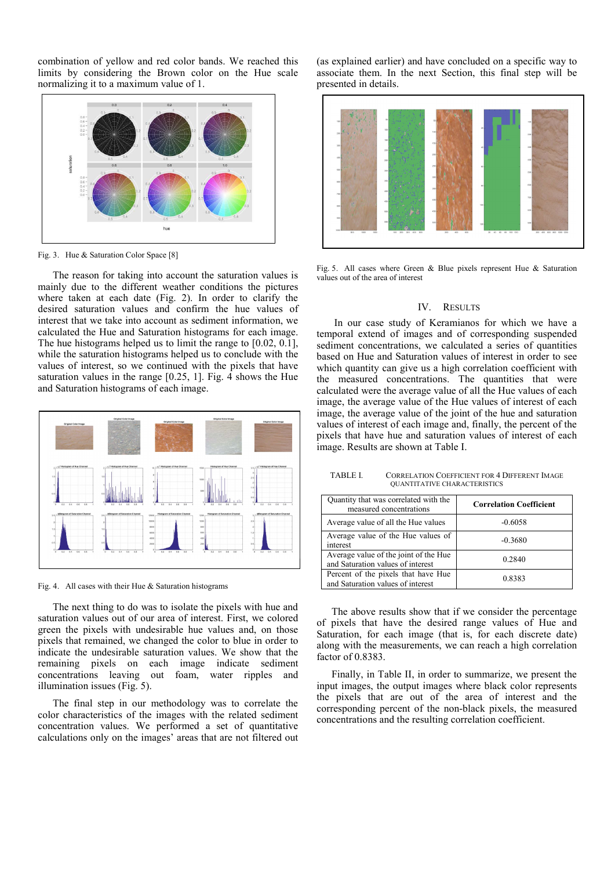combination of yellow and red color bands. We reached this limits by considering the Brown color on the Hue scale normalizing it to a maximum value of 1.



Fig. 3. Hue & Saturation Color Space [8]

The reason for taking into account the saturation values is mainly due to the different weather conditions the pictures where taken at each date (Fig. 2). In order to clarify the desired saturation values and confirm the hue values of interest that we take into account as sediment information, we calculated the Hue and Saturation histograms for each image. The hue histograms helped us to limit the range to [0.02, 0.1], while the saturation histograms helped us to conclude with the values of interest, so we continued with the pixels that have saturation values in the range [0.25, 1]. Fig. 4 shows the Hue and Saturation histograms of each image.



Fig. 4. All cases with their Hue & Saturation histograms

The next thing to do was to isolate the pixels with hue and saturation values out of our area of interest. First, we colored green the pixels with undesirable hue values and, on those pixels that remained, we changed the color to blue in order to indicate the undesirable saturation values. We show that the remaining pixels on each image indicate sediment concentrations leaving out foam, water ripples and illumination issues (Fig. 5).

The final step in our methodology was to correlate the color characteristics of the images with the related sediment concentration values. We performed a set of quantitative calculations only on the images' areas that are not filtered out (as explained earlier) and have concluded on a specific way to associate them. In the next Section, this final step will be presented in details.



Fig. 5. All cases where Green & Blue pixels represent Hue & Saturation values out of the area of interest

## IV. RESULTS

 In our case study of Keramianos for which we have a temporal extend of images and of corresponding suspended sediment concentrations, we calculated a series of quantities based on Hue and Saturation values of interest in order to see which quantity can give us a high correlation coefficient with the measured concentrations. The quantities that were calculated were the average value of all the Hue values of each image, the average value of the Hue values of interest of each image, the average value of the joint of the hue and saturation values of interest of each image and, finally, the percent of the pixels that have hue and saturation values of interest of each image. Results are shown at Table I.

TABLE I. CORRELATION COEFFICIENT FOR 4 DIFFERENT IMAGE QUANTITATIVE CHARACTERISTICS

| Quantity that was correlated with the<br>measured concentrations           | <b>Correlation Coefficient</b> |
|----------------------------------------------------------------------------|--------------------------------|
| Average value of all the Hue values                                        | $-0.6058$                      |
| Average value of the Hue values of<br>interest                             | $-0.3680$                      |
| Average value of the joint of the Hue<br>and Saturation values of interest | 0.2840                         |
| Percent of the pixels that have Hue<br>and Saturation values of interest   | 0.8383                         |

The above results show that if we consider the percentage of pixels that have the desired range values of Hue and Saturation, for each image (that is, for each discrete date) along with the measurements, we can reach a high correlation factor of 0.8383.

Finally, in Table II, in order to summarize, we present the input images, the output images where black color represents the pixels that are out of the area of interest and the corresponding percent of the non-black pixels, the measured concentrations and the resulting correlation coefficient.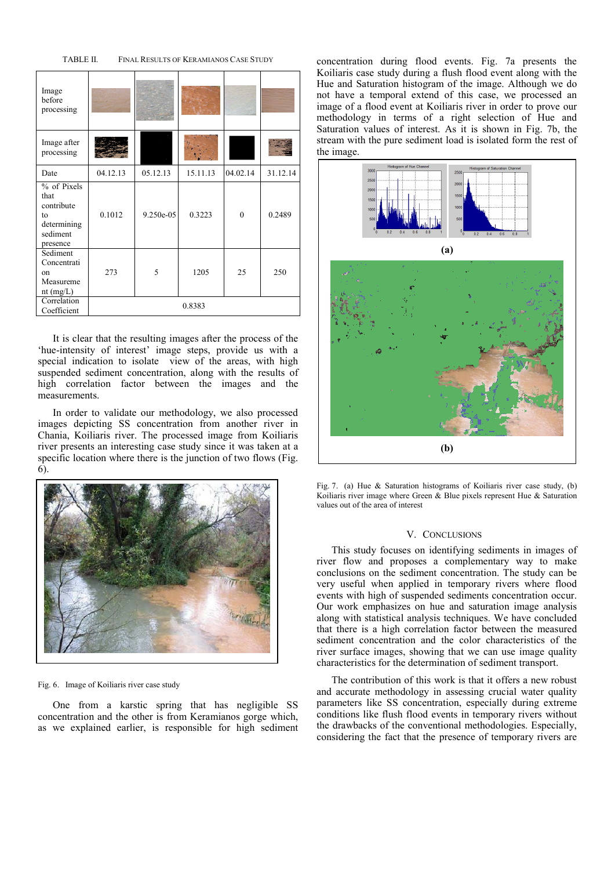TABLE II. FINAL RESULTS OF KERAMIANOS CASE STUDY

| Image<br>before<br>processing                                                  |          |           |          |          |          |  |
|--------------------------------------------------------------------------------|----------|-----------|----------|----------|----------|--|
| Image after<br>processing                                                      |          |           |          |          |          |  |
| Date                                                                           | 04.12.13 | 05.12.13  | 15.11.13 | 04.02.14 | 31.12.14 |  |
| % of Pixels<br>that<br>contribute<br>to<br>determining<br>sediment<br>presence | 0.1012   | 9.250e-05 | 0.3223   | $\theta$ | 0.2489   |  |
| Sediment<br>Concentrati<br>on<br>Measureme<br>nt $(mg/L)$                      | 273      | 5         | 1205     | 25       | 250      |  |
| Correlation<br>Coefficient                                                     | 0.8383   |           |          |          |          |  |

It is clear that the resulting images after the process of the 'hue-intensity of interest' image steps, provide us with a special indication to isolate view of the areas, with high suspended sediment concentration, along with the results of high correlation factor between the images and the measurements.

In order to validate our methodology, we also processed images depicting SS concentration from another river in Chania, Koiliaris river. The processed image from Koiliaris river presents an interesting case study since it was taken at a specific location where there is the junction of two flows (Fig. 6).



Fig. 6. Image of Koiliaris river case study

One from a karstic spring that has negligible SS concentration and the other is from Keramianos gorge which, as we explained earlier, is responsible for high sediment concentration during flood events. Fig. 7a presents the Koiliaris case study during a flush flood event along with the Hue and Saturation histogram of the image. Although we do not have a temporal extend of this case, we processed an image of a flood event at Koiliaris river in order to prove our methodology in terms of a right selection of Hue and Saturation values of interest. As it is shown in Fig. 7b, the stream with the pure sediment load is isolated form the rest of the image.



Fig. 7. (a) Hue & Saturation histograms of Koiliaris river case study, (b) Koiliaris river image where Green  $\&$  Blue pixels represent Hue  $\&$  Saturation values out of the area of interest

### V. CONCLUSIONS

This study focuses on identifying sediments in images of river flow and proposes a complementary way to make conclusions on the sediment concentration. The study can be very useful when applied in temporary rivers where flood events with high of suspended sediments concentration occur. Our work emphasizes on hue and saturation image analysis along with statistical analysis techniques. We have concluded that there is a high correlation factor between the measured sediment concentration and the color characteristics of the river surface images, showing that we can use image quality characteristics for the determination of sediment transport.

The contribution of this work is that it offers a new robust and accurate methodology in assessing crucial water quality parameters like SS concentration, especially during extreme conditions like flush flood events in temporary rivers without the drawbacks of the conventional methodologies. Especially, considering the fact that the presence of temporary rivers are